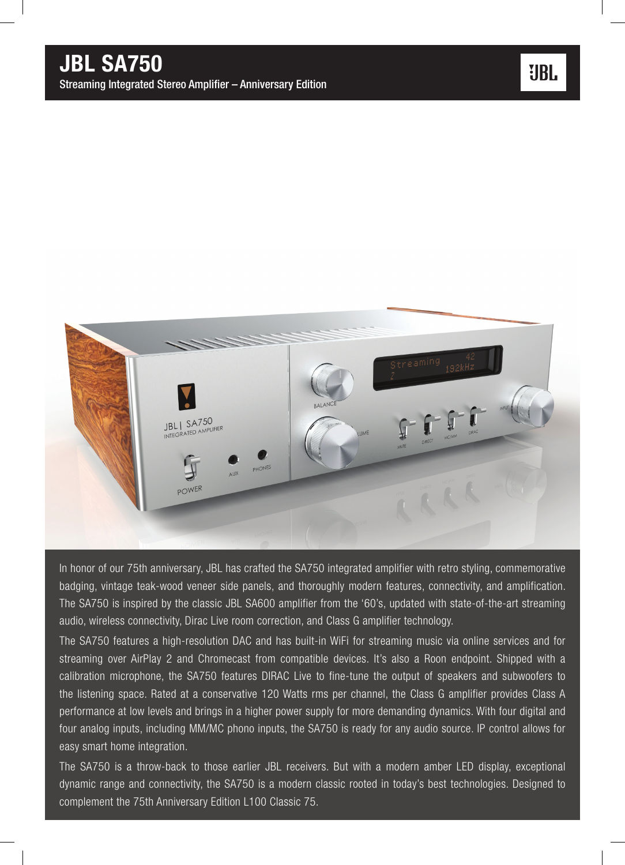Streaming Integrated Stereo Amplifier – Anniversary Edition



In honor of our 75th anniversary, JBL has crafted the SA750 integrated amplifier with retro styling, commemorative badging, vintage teak-wood veneer side panels, and thoroughly modern features, connectivity, and amplification. The SA750 is inspired by the classic JBL SA600 amplifier from the '60's, updated with state-of-the-art streaming audio, wireless connectivity, Dirac Live room correction, and Class G amplifier technology.

The SA750 features a high-resolution DAC and has built-in WiFi for streaming music via online services and for streaming over AirPlay 2 and Chromecast from compatible devices. It's also a Roon endpoint. Shipped with a calibration microphone, the SA750 features DIRAC Live to fine-tune the output of speakers and subwoofers to the listening space. Rated at a conservative 120 Watts rms per channel, the Class G amplifier provides Class A performance at low levels and brings in a higher power supply for more demanding dynamics. With four digital and four analog inputs, including MM/MC phono inputs, the SA750 is ready for any audio source. IP control allows for easy smart home integration.

The SA750 is a throw-back to those earlier JBL receivers. But with a modern amber LED display, exceptional dynamic range and connectivity, the SA750 is a modern classic rooted in today's best technologies. Designed to complement the 75th Anniversary Edition L100 Classic 75.